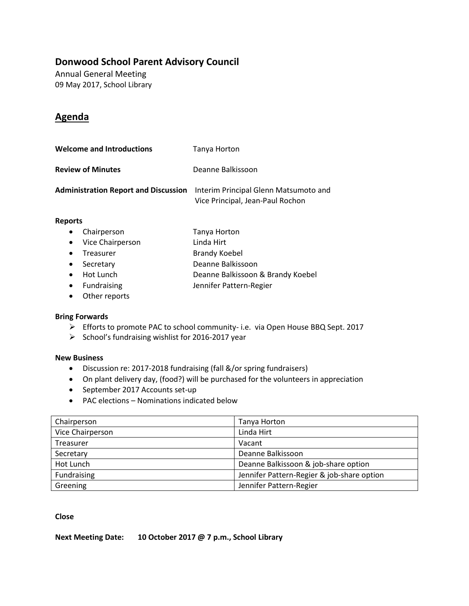### **Donwood School Parent Advisory Council**

Annual General Meeting 09 May 2017, School Library

### **Agenda**

| <b>Welcome and Introductions</b> | Tanya Horton                                                                                                   |
|----------------------------------|----------------------------------------------------------------------------------------------------------------|
| <b>Review of Minutes</b>         | Deanne Balkissoon                                                                                              |
|                                  | Administration Report and Discussion Interim Principal Glenn Matsumoto and<br>Vice Principal, Jean-Paul Rochon |

#### **Reports**

| Chairperson | Tanya Horton |
|-------------|--------------|
|             |              |

- Vice Chairperson Linda Hirt
- Treasurer Brandy Koebel
- Secretary Deanne Balkissoon
- Hot Lunch Deanne Balkissoon & Brandy Koebel
- Fundraising Jennifer Pattern-Regier
- Other reports

#### **Bring Forwards**

- Efforts to promote PAC to school community- i.e. via Open House BBQ Sept. 2017
- $\triangleright$  School's fundraising wishlist for 2016-2017 year

#### **New Business**

- Discussion re: 2017-2018 fundraising (fall &/or spring fundraisers)
- On plant delivery day, (food?) will be purchased for the volunteers in appreciation
- September 2017 Accounts set-up
- PAC elections Nominations indicated below

| Chairperson      | Tanya Horton                               |
|------------------|--------------------------------------------|
| Vice Chairperson | Linda Hirt                                 |
| Treasurer        | Vacant                                     |
| Secretary        | Deanne Balkissoon                          |
| Hot Lunch        | Deanne Balkissoon & job-share option       |
| Fundraising      | Jennifer Pattern-Regier & job-share option |
| Greening         | Jennifer Pattern-Regier                    |

#### **Close**

**Next Meeting Date: 10 October 2017 @ 7 p.m., School Library**